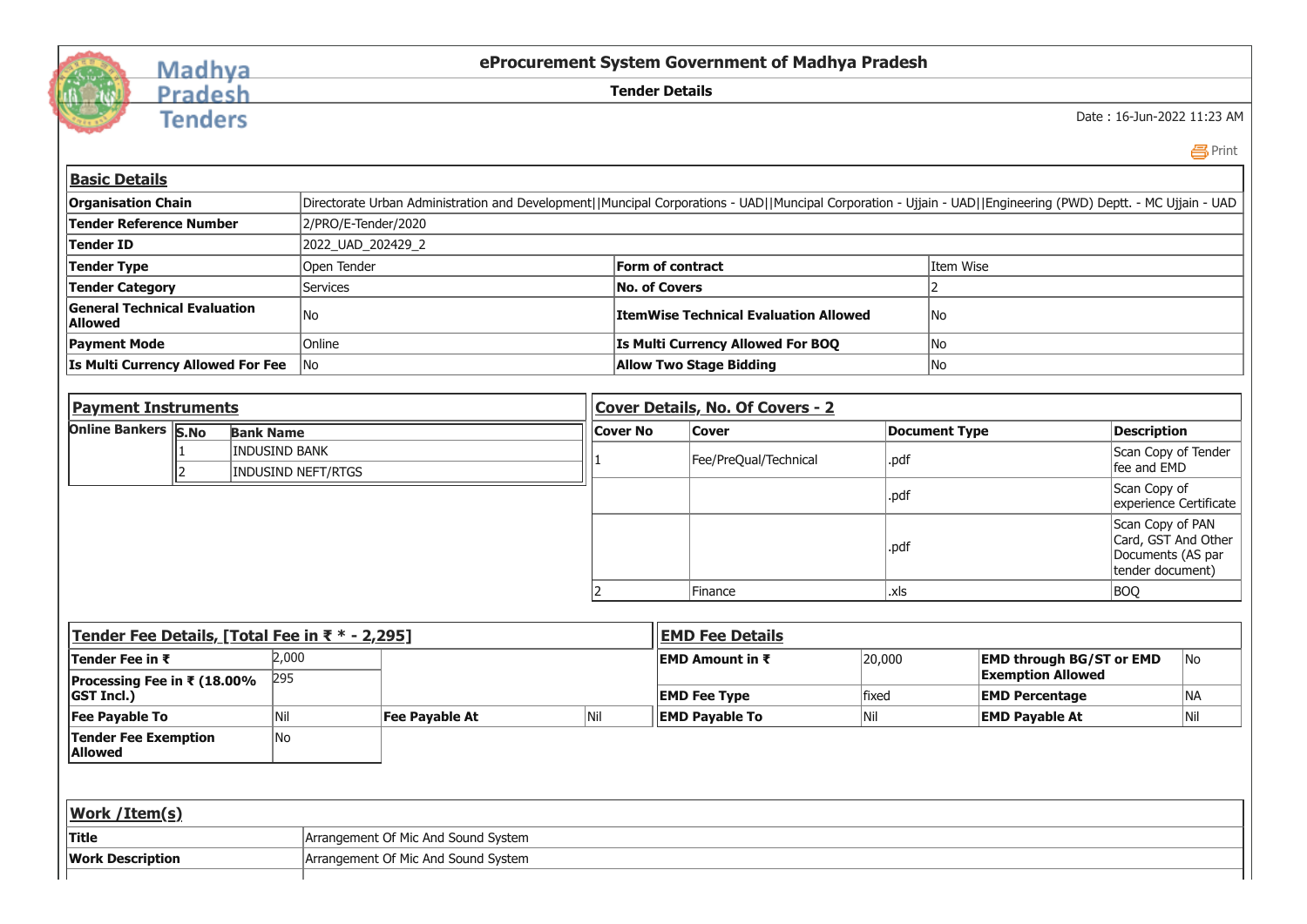

## Madhya<br>Pradesh

**Tenders** 

**eProcurement System Government of Madhya Pradesh**

**Tender Details**

Date : 16-Jun-2022 11:23 AM

**昌**Print

| <b>Basic Details</b>                                  |                                                                                                                                                                |                                              |           |  |  |  |  |  |
|-------------------------------------------------------|----------------------------------------------------------------------------------------------------------------------------------------------------------------|----------------------------------------------|-----------|--|--|--|--|--|
| <b>Organisation Chain</b>                             | Directorate Urban Administration and Development  Muncipal Corporations - UAD  Muncipal Corporation - Ujjain - UAD  Engineering (PWD) Deptt. - MC Ujjain - UAD |                                              |           |  |  |  |  |  |
| Tender Reference Number                               | 2/PRO/E-Tender/2020                                                                                                                                            |                                              |           |  |  |  |  |  |
| <b>Tender ID</b>                                      | 2022 UAD 202429 2                                                                                                                                              |                                              |           |  |  |  |  |  |
| Tender Type                                           | Open Tender                                                                                                                                                    | <b>Form of contract</b>                      | Item Wise |  |  |  |  |  |
| <b>Tender Category</b>                                | <b>Services</b>                                                                                                                                                | No. of Covers                                |           |  |  |  |  |  |
| <b>General Technical Evaluation</b><br><b>Allowed</b> | lNo                                                                                                                                                            | <b>ItemWise Technical Evaluation Allowed</b> | lNo       |  |  |  |  |  |
| <b>Payment Mode</b>                                   | <b>Online</b>                                                                                                                                                  | <b>Is Multi Currency Allowed For BOQ</b>     | lNo       |  |  |  |  |  |
| <b>Is Multi Currency Allowed For Fee</b>              | No                                                                                                                                                             | <b>Allow Two Stage Bidding</b>               | No        |  |  |  |  |  |
|                                                       |                                                                                                                                                                |                                              |           |  |  |  |  |  |

| <b>Payment Instruments</b> |  | Cover Details, No. Of Covers - 2           |                 |                       |               |                                                                                  |  |
|----------------------------|--|--------------------------------------------|-----------------|-----------------------|---------------|----------------------------------------------------------------------------------|--|
| Online Bankers S.No        |  | <b>Bank Name</b>                           | <b>Cover No</b> | <b>Cover</b>          | Document Type | <b>Description</b>                                                               |  |
|                            |  | <b>INDUSIND BANK</b><br>INDUSIND NEFT/RTGS |                 | Fee/PreQual/Technical | .pdf          | Scan Copy of Tender<br>fee and EMD                                               |  |
|                            |  |                                            |                 |                       | pdl.          | Scan Copy of<br>experience Certificate                                           |  |
|                            |  |                                            |                 |                       | pdl.          | Scan Copy of PAN<br>Card, GST And Other<br>Documents (AS par<br>tender document) |  |
|                            |  |                                            |                 | Finance               | .xls          | BOQ                                                                              |  |

| Tender Fee Details, [Total Fee in ₹ * - 2,295] |       |                                     |     | <b>EMD Fee Details</b>  |              |                                 |      |  |
|------------------------------------------------|-------|-------------------------------------|-----|-------------------------|--------------|---------------------------------|------|--|
| <b>Tender Fee in ₹</b>                         | 2,000 |                                     |     | <b>IEMD Amount in ₹</b> | 20,000       | <b>EMD through BG/ST or EMD</b> | lNo. |  |
| <b>Processing Fee in ₹ (18.00%</b>             | 295   |                                     |     |                         |              | <b>Exemption Allowed</b>        |      |  |
| <b>IGST Incl.)</b>                             |       |                                     |     | <b>EMD Fee Type</b>     | <b>fixed</b> | <b>EMD Percentage</b>           | NA)  |  |
| <b>Fee Payable To</b>                          | INi.  | Fee Payable At                      | Nil | <b>EMD Payable To</b>   | Nil          | <b>EMD Payable At</b>           | Nil  |  |
| Tender Fee Exemption<br><b>Allowed</b>         | lNo   |                                     |     |                         |              |                                 |      |  |
|                                                |       |                                     |     |                         |              |                                 |      |  |
| <b>Work /Item(s)</b>                           |       |                                     |     |                         |              |                                 |      |  |
| <b>Title</b>                                   |       | Arrangement Of Mic And Sound System |     |                         |              |                                 |      |  |
| <b>Work Description</b>                        |       | Arrangement Of Mic And Sound System |     |                         |              |                                 |      |  |